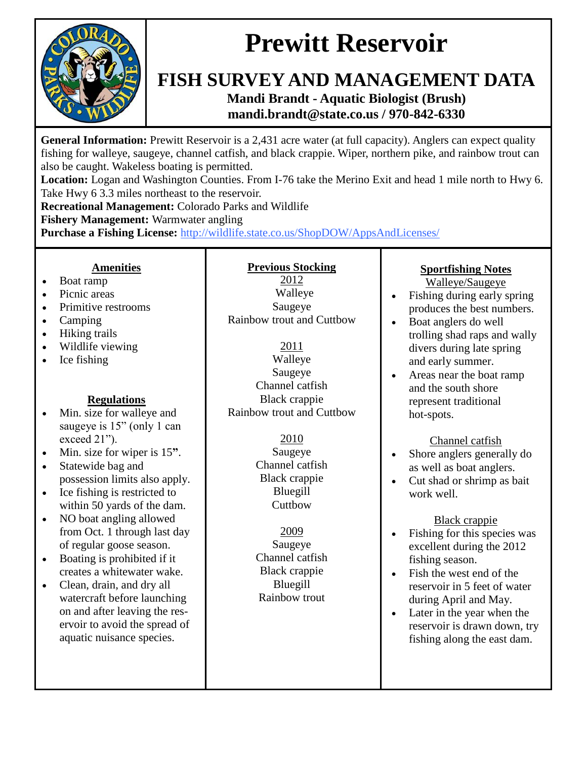

### **FISH SURVEY AND MANAGEMENT DATA Mandi Brandt - Aquatic Biologist (Brush) mandi.brandt@state.co.us / 970-842-6330**

**General Information:** Prewitt Reservoir is a 2,431 acre water (at full capacity). Anglers can expect quality fishing for walleye, saugeye, channel catfish, and black crappie. Wiper, northern pike, and rainbow trout can also be caught. Wakeless boating is permitted.

**Location:** Logan and Washington Counties. From I-76 take the Merino Exit and head 1 mile north to Hwy 6. Take Hwy 6 3.3 miles northeast to the reservoir.

**Recreational Management:** Colorado Parks and Wildlife

**Fishery Management:** Warmwater angling

**Purchase a Fishing License:** http://wildlife.state.co.us/ShopDOW/AppsAndLicenses/

#### **Amenities**

- Boat ramp
- Picnic areas
- Primitive restrooms
- Camping
- Hiking trails
- Wildlife viewing
- Ice fishing

#### **Regulations**

- Min. size for walleye and saugeye is  $15"$  (only 1 can exceed 21").
- Min. size for wiper is 15**"**.
- Statewide bag and possession limits also apply.
- Ice fishing is restricted to within 50 yards of the dam.
- NO boat angling allowed from Oct. 1 through last day of regular goose season.
- Boating is prohibited if it creates a whitewater wake.
- Clean, drain, and dry all watercraft before launching on and after leaving the reservoir to avoid the spread of aquatic nuisance species.

#### **Previous Stocking** 2012 Walleye Saugeye

Rainbow trout and Cuttbow

2011 Walleye Saugeye Channel catfish Black crappie Rainbow trout and Cuttbow

> 2010 Saugeye Channel catfish Black crappie Bluegill **Cuttbow**

2009 Saugeye Channel catfish Black crappie Bluegill Rainbow trout

#### **Sportfishing Notes**  Walleye/Saugeye

- Fishing during early spring produces the best numbers.
- Boat anglers do well trolling shad raps and wally divers during late spring and early summer.
- Areas near the boat ramp and the south shore represent traditional hot-spots.

Channel catfish

- Shore anglers generally do as well as boat anglers.
- Cut shad or shrimp as bait work well.

Black crappie

- Fishing for this species was excellent during the 2012 fishing season.
- Fish the west end of the reservoir in 5 feet of water during April and May.
- Later in the year when the reservoir is drawn down, try fishing along the east dam.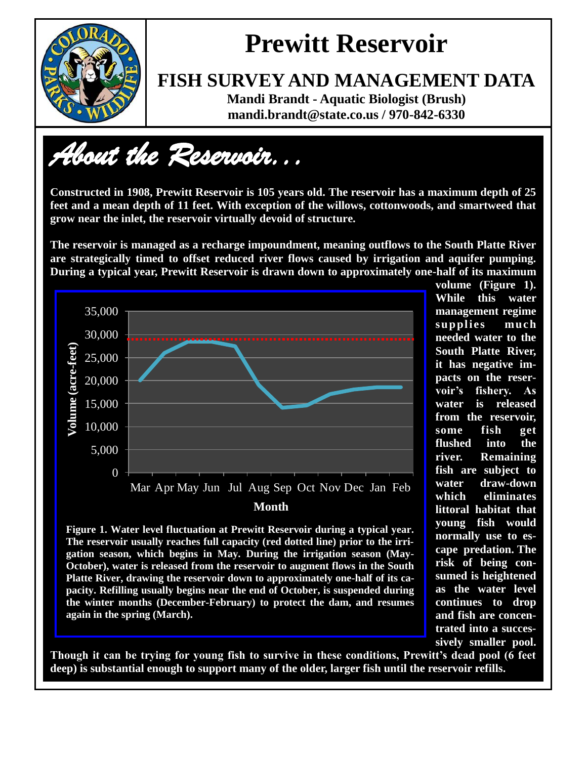

### **FISH SURVEY AND MANAGEMENT DATA**

**Mandi Brandt - Aquatic Biologist (Brush) mandi.brandt@state.co.us / 970-842-6330**

*About the Reservoir...* 

**Constructed in 1908, Prewitt Reservoir is 105 years old. The reservoir has a maximum depth of 25 feet and a mean depth of 11 feet. With exception of the willows, cottonwoods, and smartweed that grow near the inlet, the reservoir virtually devoid of structure.** 

**The reservoir is managed as a recharge impoundment, meaning outflows to the South Platte River are strategically timed to offset reduced river flows caused by irrigation and aquifer pumping. During a typical year, Prewitt Reservoir is drawn down to approximately one-half of its maximum** 



**Figure 1. Water level fluctuation at Prewitt Reservoir during a typical year. The reservoir usually reaches full capacity (red dotted line) prior to the irrigation season, which begins in May. During the irrigation season (May-October), water is released from the reservoir to augment flows in the South Platte River, drawing the reservoir down to approximately one-half of its capacity. Refilling usually begins near the end of October, is suspended during the winter months (December-February) to protect the dam, and resumes again in the spring (March).**

**volume (Figure 1). While this water management regime supplies much needed water to the South Platte River, it has negative impacts on the reservoir's fishery. As water is released from the reservoir, some fish get flushed into the river. Remaining fish are subject to water draw-down which eliminates littoral habitat that young fish would normally use to escape predation. The risk of being consumed is heightened as the water level continues to drop and fish are concentrated into a successively smaller pool.** 

**Though it can be trying for young fish to survive in these conditions, Prewitt's dead pool (6 feet deep) is substantial enough to support many of the older, larger fish until the reservoir refills.**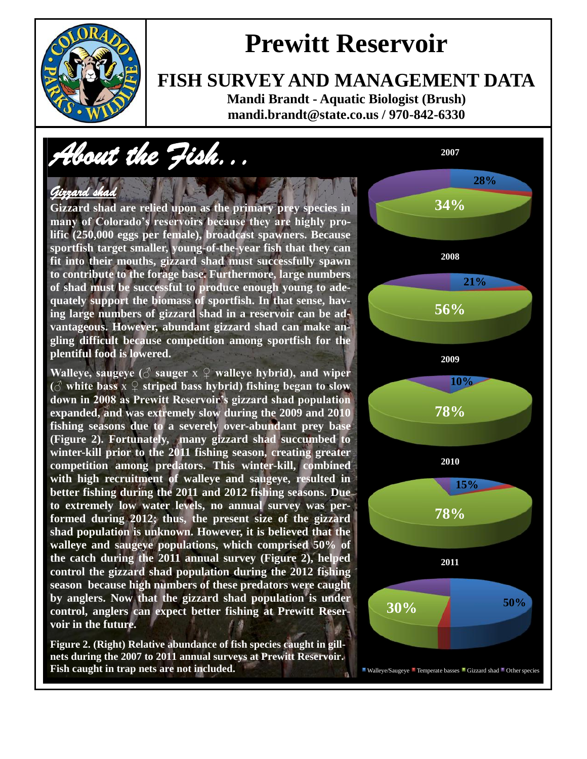

### **FISH SURVEY AND MANAGEMENT DATA**

**Mandi Brandt - Aquatic Biologist (Brush) mandi.brandt@state.co.us / 970-842-6330**

# *About the Fish...*

#### *Gizzard shad*

**Gizzard shad are relied upon as the primary prey species in many of Colorado's reservoirs because they are highly prolific (250,000 eggs per female), broadcast spawners. Because sportfish target smaller, young-of-the-year fish that they can fit into their mouths, gizzard shad must successfully spawn to contribute to the forage base. Furthermore, large numbers of shad must be successful to produce enough young to adequately support the biomass of sportfish. In that sense, having large numbers of gizzard shad in a reservoir can be advantageous. However, abundant gizzard shad can make angling difficult because competition among sportfish for the plentiful food is lowered.**

**Walleye, saugeye (♂ sauger** x **♀ walleye hybrid), and wiper**   $\alpha$  white bass  $x \nsubseteq$  striped bass hybrid) fishing began to slow **down in 2008 as Prewitt Reservoir's gizzard shad population expanded, and was extremely slow during the 2009 and 2010 fishing seasons due to a severely over-abundant prey base (Figure 2). Fortunately, many gizzard shad succumbed to winter-kill prior to the 2011 fishing season, creating greater competition among predators. This winter-kill, combined with high recruitment of walleye and saugeye, resulted in better fishing during the 2011 and 2012 fishing seasons. Due to extremely low water levels, no annual survey was performed during 2012; thus, the present size of the gizzard shad population is unknown. However, it is believed that the walleye and saugeye populations, which comprised 50% of the catch during the 2011 annual survey (Figure 2), helped control the gizzard shad population during the 2012 fishing season because high numbers of these predators were caught by anglers. Now that the gizzard shad population is under control, anglers can expect better fishing at Prewitt Reservoir in the future.**

**Figure 2. (Right) Relative abundance of fish species caught in gillnets during the 2007 to 2011 annual surveys at Prewitt Reservoir. Fish caught in trap nets are not included.**

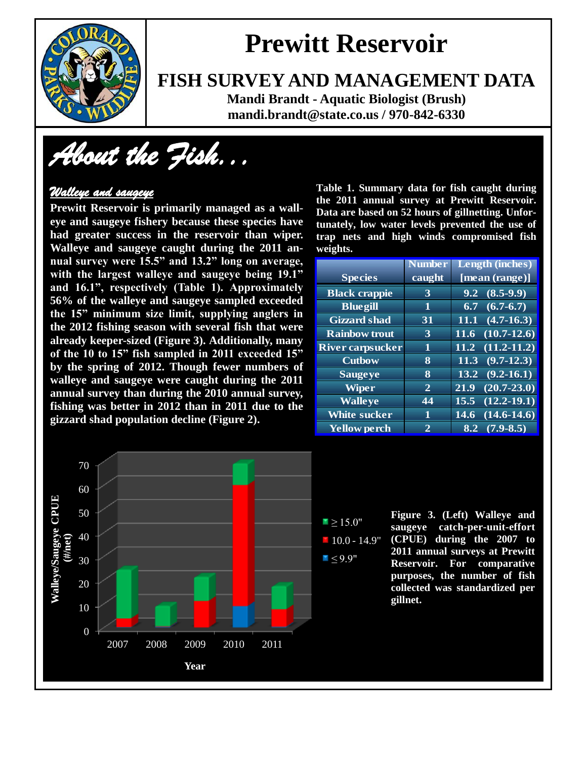

### **FISH SURVEY AND MANAGEMENT DATA**

**Mandi Brandt - Aquatic Biologist (Brush) mandi.brandt@state.co.us / 970-842-6330**

*About the Fish...* 

### *Walleye and saugeye*

**Prewitt Reservoir is primarily managed as a walleye and saugeye fishery because these species have had greater success in the reservoir than wiper. Walleye and saugeye caught during the 2011 annual survey were 15.5" and 13.2" long on average, with the largest walleye and saugeye being 19.1" and 16.1", respectively (Table 1). Approximately 56% of the walleye and saugeye sampled exceeded the 15" minimum size limit, supplying anglers in the 2012 fishing season with several fish that were already keeper-sized (Figure 3). Additionally, many of the 10 to 15" fish sampled in 2011 exceeded 15" by the spring of 2012. Though fewer numbers of walleye and saugeye were caught during the 2011 annual survey than during the 2010 annual survey, fishing was better in 2012 than in 2011 due to the gizzard shad population decline (Figure 2).** 

**Table 1. Summary data for fish caught during the 2011 annual survey at Prewitt Reservoir. Data are based on 52 hours of gillnetting. Unfortunately, low water levels prevented the use of trap nets and high winds compromised fish weights.**

|                         | <b>Number</b> | <b>Length (inches)</b>            |
|-------------------------|---------------|-----------------------------------|
| <b>Species</b>          | caught        | [mean (range)]                    |
| <b>Black crappie</b>    | 3             | $(8.5-9.9)$<br>9.2                |
| <b>Bluegill</b>         | 1             | $(6.7 - 6.7)$<br>6.7              |
| <b>Gizzard</b> shad     | 31            | $(4.7 - 16.3)$<br>11.1            |
| <b>Rainbow trout</b>    | 3             | $(10.7 - 12.6)$<br><b>11.6</b>    |
| <b>River carpsucker</b> | 1             | $(11.2 - 11.2)$<br>11.2           |
| <b>Cutbow</b>           | 8             | $(9.7 - 12.3)$<br>11.3            |
| <b>Saugeye</b>          | 8             | $(9.2 - 16.1)$<br>13.2            |
| <b>Wiper</b>            | $\mathbf{2}$  | $(20.7 - 23.0)$<br>21.9           |
| <b>Walleye</b>          | 44            | $(12.2 - 19.1)$<br>15.5           |
| <b>White sucker</b>     | 11            | $(14.6-14.6)$<br>14.6             |
| <b>Yellow perch</b>     | 2             | $(7.9 - 8.5)$<br>$8.\overline{2}$ |



**Figure 3. (Left) Walleye and saugeye catch-per-unit-effort (CPUE) during the 2007 to 2011 annual surveys at Prewitt Reservoir. For comparative purposes, the number of fish collected was standardized per gillnet.**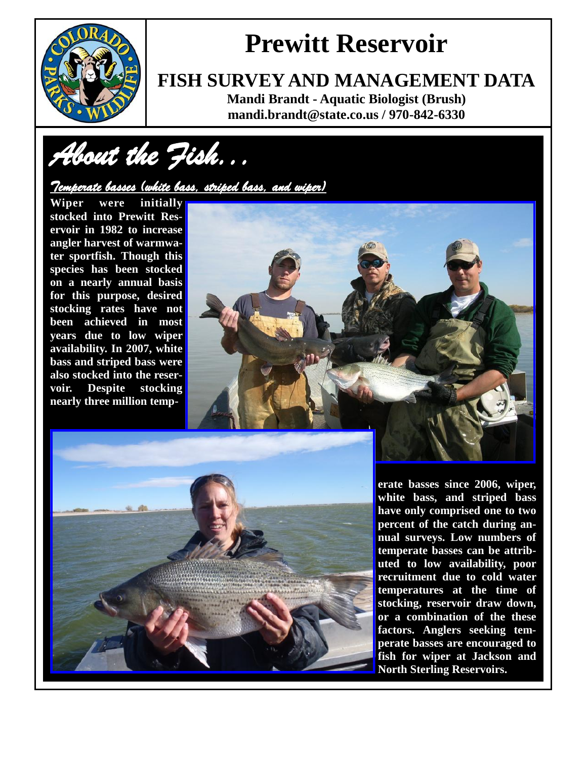

### **FISH SURVEY AND MANAGEMENT DATA**

**Mandi Brandt - Aquatic Biologist (Brush) mandi.brandt@state.co.us / 970-842-6330**

*About the Fish...* 

### *Temperate basses (white bass, striped bass, and wiper)*

**Wiper were initially stocked into Prewitt Reservoir in 1982 to increase angler harvest of warmwater sportfish. Though this species has been stocked on a nearly annual basis for this purpose, desired stocking rates have not been achieved in most years due to low wiper availability. In 2007, white bass and striped bass were also stocked into the reservoir. Despite stocking nearly three million temp-**





**erate basses since 2006, wiper, white bass, and striped bass have only comprised one to two percent of the catch during annual surveys. Low numbers of temperate basses can be attributed to low availability, poor recruitment due to cold water temperatures at the time of stocking, reservoir draw down, or a combination of the these factors. Anglers seeking temperate basses are encouraged to fish for wiper at Jackson and North Sterling Reservoirs.**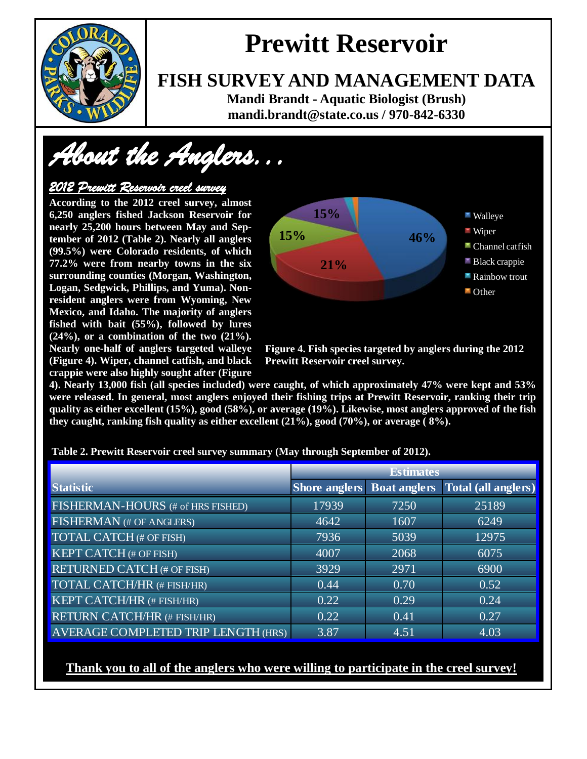

### **FISH SURVEY AND MANAGEMENT DATA**

**Mandi Brandt - Aquatic Biologist (Brush) mandi.brandt@state.co.us / 970-842-6330**

*About the Anglers...* 

#### *2012 Prewitt Reservoir creel survey*

**According to the 2012 creel survey, almost 6,250 anglers fished Jackson Reservoir for nearly 25,200 hours between May and September of 2012 (Table 2). Nearly all anglers (99.5%) were Colorado residents, of which 77.2% were from nearby towns in the six surrounding counties (Morgan, Washington, Logan, Sedgwick, Phillips, and Yuma). Nonresident anglers were from Wyoming, New Mexico, and Idaho. The majority of anglers fished with bait (55%), followed by lures (24%), or a combination of the two (21%). Nearly one-half of anglers targeted walleye (Figure 4). Wiper, channel catfish, and black crappie were also highly sought after (Figure** 



 **Figure 4. Fish species targeted by anglers during the 2012 Prewitt Reservoir creel survey.**

**4). Nearly 13,000 fish (all species included) were caught, of which approximately 47% were kept and 53% were released. In general, most anglers enjoyed their fishing trips at Prewitt Reservoir, ranking their trip quality as either excellent (15%), good (58%), or average (19%). Likewise, most anglers approved of the fish they caught, ranking fish quality as either excellent (21%), good (70%), or average ( 8%).** 

|                                     | <b>Estimates</b> |      |                                                       |
|-------------------------------------|------------------|------|-------------------------------------------------------|
| <b>Statistic</b>                    |                  |      | <b>Shore anglers</b> Boat anglers Total (all anglers) |
| FISHERMAN-HOURS (# of HRS FISHED)   | 17939            | 7250 | 25189                                                 |
| FISHERMAN (# OF ANGLERS)            | 4642             | 1607 | $62\overline{49}$                                     |
| TOTAL CATCH (# OF FISH)             | 7936             | 5039 | 12975                                                 |
| <b>KEPT CATCH (# OF FISH)</b>       | 4007             | 2068 | 6075                                                  |
| <b>RETURNED CATCH (# OF FISH)</b>   | 3929             | 2971 | 6900                                                  |
| TOTAL CATCH/HR (# FISH/HR)          | 0.44             | 0.70 | 0.52                                                  |
| KEPT CATCH/HR (# FISH/HR)           | 0.22             | 0.29 | 0.24                                                  |
| <b>RETURN CATCH/HR (# FISH/HR)</b>  | 0.22             | 0.41 | 0.27                                                  |
| AVERAGE COMPLETED TRIP LENGTH (HRS) | 3.87             | 4.51 | 4.03                                                  |

**Table 2. Prewitt Reservoir creel survey summary (May through September of 2012).**

### **Thank you to all of the anglers who were willing to participate in the creel survey!**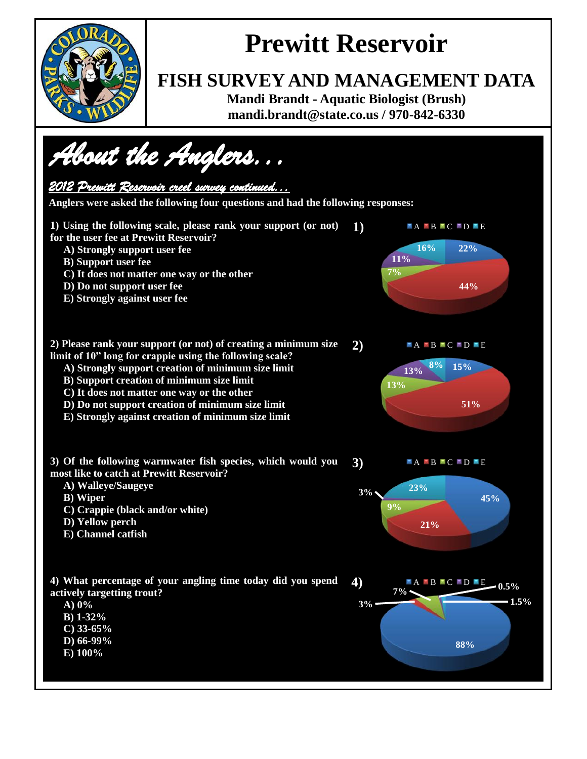

### **FISH SURVEY AND MANAGEMENT DATA**

**Mandi Brandt - Aquatic Biologist (Brush) mandi.brandt@state.co.us / 970-842-6330**